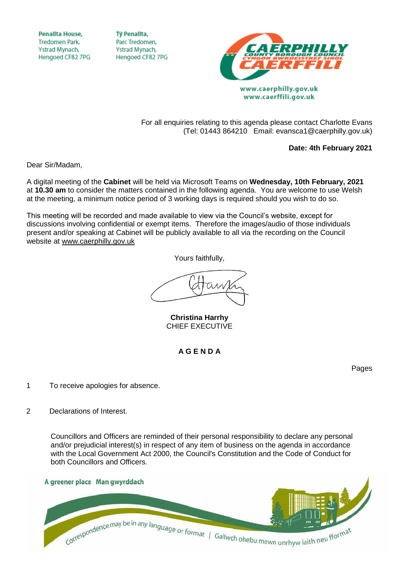**Penallta House, Tredomen Park.** Ystrad Mynach, Hengoed CF82 7PG

**TV Penallta,** Parc Tredomen. Ystrad Mynach, Hengoed CF82 7PG



www.caerphilly.gov.uk www.caerffili.gov.uk

For all enquiries relating to this agenda please contact Charlotte Evans (Tel: 01443 864210 Email: evansca1@caerphilly.gov.uk)

**Date: 4th February 2021**

Dear Sir/Madam,

A digital meeting of the **Cabinet** will be held via Microsoft Teams on **Wednesday, 10th February, 2021** at **10.30 am** to consider the matters contained in the following agenda. You are welcome to use Welsh at the meeting, a minimum notice period of 3 working days is required should you wish to do so.

This meeting will be recorded and made available to view via the Council's website, except for discussions involving confidential or exempt items. Therefore the images/audio of those individuals present and/or speaking at Cabinet will be publicly available to all via the recording on the Council website at [www.caerphilly.gov.uk](http://www.caerphilly.gov.uk/)

Yours faithfully,

**Christina Harrhy** CHIEF EXECUTIVE

**A G E N D A**

Pages

- 1 To receive apologies for absence.
- 2 Declarations of Interest.

Councillors and Officers are reminded of their personal responsibility to declare any personal and/or prejudicial interest(s) in respect of any item of business on the agenda in accordance with the Local Government Act 2000, the Council's Constitution and the Code of Conduct for both Councillors and Officers.